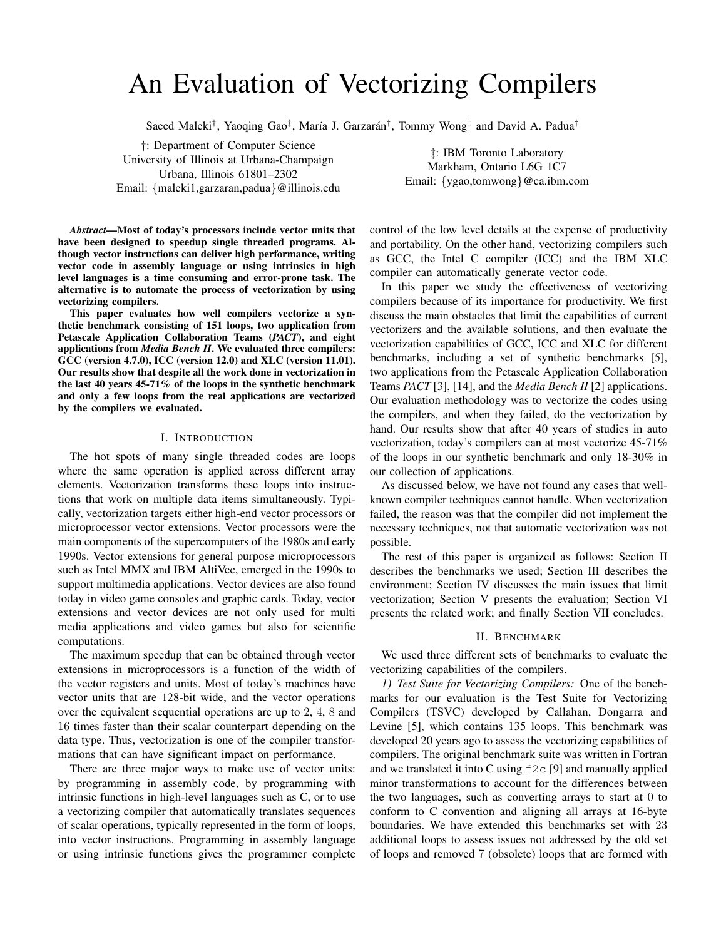# An Evaluation of Vectorizing Compilers

Saeed Maleki<sup>†</sup>, Yaoqing Gao<sup>‡</sup>, María J. Garzarán<sup>†</sup>, Tommy Wong‡ and David A. Padua<sup>†</sup>

†: Department of Computer Science University of Illinois at Urbana-Champaign Urbana, Illinois 61801–2302 Email: {maleki1,garzaran,padua}@illinois.edu

*Abstract*—Most of today's processors include vector units that have been designed to speedup single threaded programs. Although vector instructions can deliver high performance, writing vector code in assembly language or using intrinsics in high level languages is a time consuming and error-prone task. The alternative is to automate the process of vectorization by using vectorizing compilers.

This paper evaluates how well compilers vectorize a synthetic benchmark consisting of 151 loops, two application from Petascale Application Collaboration Teams (*PACT*), and eight applications from *Media Bench II*. We evaluated three compilers: GCC (version 4.7.0), ICC (version 12.0) and XLC (version 11.01). Our results show that despite all the work done in vectorization in the last 40 years 45-71% of the loops in the synthetic benchmark and only a few loops from the real applications are vectorized by the compilers we evaluated.

## I. INTRODUCTION

The hot spots of many single threaded codes are loops where the same operation is applied across different array elements. Vectorization transforms these loops into instructions that work on multiple data items simultaneously. Typically, vectorization targets either high-end vector processors or microprocessor vector extensions. Vector processors were the main components of the supercomputers of the 1980s and early 1990s. Vector extensions for general purpose microprocessors such as Intel MMX and IBM AltiVec, emerged in the 1990s to support multimedia applications. Vector devices are also found today in video game consoles and graphic cards. Today, vector extensions and vector devices are not only used for multi media applications and video games but also for scientific computations.

The maximum speedup that can be obtained through vector extensions in microprocessors is a function of the width of the vector registers and units. Most of today's machines have vector units that are 128-bit wide, and the vector operations over the equivalent sequential operations are up to 2, 4, 8 and 16 times faster than their scalar counterpart depending on the data type. Thus, vectorization is one of the compiler transformations that can have significant impact on performance.

There are three major ways to make use of vector units: by programming in assembly code, by programming with intrinsic functions in high-level languages such as C, or to use a vectorizing compiler that automatically translates sequences of scalar operations, typically represented in the form of loops, into vector instructions. Programming in assembly language or using intrinsic functions gives the programmer complete

‡: IBM Toronto Laboratory Markham, Ontario L6G 1C7 Email: {ygao,tomwong}@ca.ibm.com

control of the low level details at the expense of productivity and portability. On the other hand, vectorizing compilers such as GCC, the Intel C compiler (ICC) and the IBM XLC compiler can automatically generate vector code.

In this paper we study the effectiveness of vectorizing compilers because of its importance for productivity. We first discuss the main obstacles that limit the capabilities of current vectorizers and the available solutions, and then evaluate the vectorization capabilities of GCC, ICC and XLC for different benchmarks, including a set of synthetic benchmarks [5], two applications from the Petascale Application Collaboration Teams *PACT* [3], [14], and the *Media Bench II* [2] applications. Our evaluation methodology was to vectorize the codes using the compilers, and when they failed, do the vectorization by hand. Our results show that after 40 years of studies in auto vectorization, today's compilers can at most vectorize 45-71% of the loops in our synthetic benchmark and only 18-30% in our collection of applications.

As discussed below, we have not found any cases that wellknown compiler techniques cannot handle. When vectorization failed, the reason was that the compiler did not implement the necessary techniques, not that automatic vectorization was not possible.

The rest of this paper is organized as follows: Section II describes the benchmarks we used; Section III describes the environment; Section IV discusses the main issues that limit vectorization; Section V presents the evaluation; Section VI presents the related work; and finally Section VII concludes.

## II. BENCHMARK

We used three different sets of benchmarks to evaluate the vectorizing capabilities of the compilers.

*1) Test Suite for Vectorizing Compilers:* One of the benchmarks for our evaluation is the Test Suite for Vectorizing Compilers (TSVC) developed by Callahan, Dongarra and Levine [5], which contains 135 loops. This benchmark was developed 20 years ago to assess the vectorizing capabilities of compilers. The original benchmark suite was written in Fortran and we translated it into C using  $f2c$  [9] and manually applied minor transformations to account for the differences between the two languages, such as converting arrays to start at 0 to conform to C convention and aligning all arrays at 16-byte boundaries. We have extended this benchmarks set with 23 additional loops to assess issues not addressed by the old set of loops and removed 7 (obsolete) loops that are formed with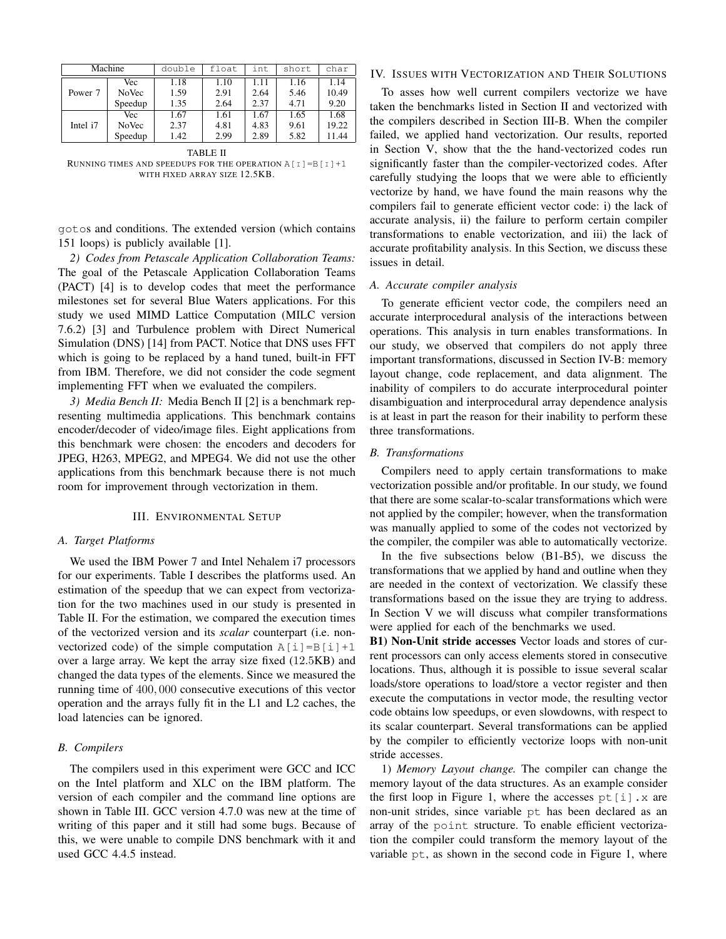| Machine  |         | double | float | int  | short | char  |
|----------|---------|--------|-------|------|-------|-------|
|          | Vec     | 1.18   | 1.10  | 1.11 | 1.16  | 1.14  |
| Power 7  | NoVec   | 1.59   | 2.91  | 2.64 | 5.46  | 10.49 |
|          | Speedup | 1.35   | 2.64  | 2.37 | 4.71  | 9.20  |
|          | Vec     | 1.67   | 1.61  | 1.67 | 1.65  | 1.68  |
| Intel i7 | NoVec   | 2.37   | 4.81  | 4.83 | 9.61  | 19.22 |
|          | Speedup | 1.42   | 2.99  | 2.89 | 5.82  | 11.44 |

TABLE II

RUNNING TIMES AND SPEEDUPS FOR THE OPERATION A  $[I] = B[I] + 1$ WITH FIXED ARRAY SIZE 12.5KB.

gotos and conditions. The extended version (which contains 151 loops) is publicly available [1].

*2) Codes from Petascale Application Collaboration Teams:* The goal of the Petascale Application Collaboration Teams (PACT) [4] is to develop codes that meet the performance milestones set for several Blue Waters applications. For this study we used MIMD Lattice Computation (MILC version 7.6.2) [3] and Turbulence problem with Direct Numerical Simulation (DNS) [14] from PACT. Notice that DNS uses FFT which is going to be replaced by a hand tuned, built-in FFT from IBM. Therefore, we did not consider the code segment implementing FFT when we evaluated the compilers.

*3) Media Bench II:* Media Bench II [2] is a benchmark representing multimedia applications. This benchmark contains encoder/decoder of video/image files. Eight applications from this benchmark were chosen: the encoders and decoders for JPEG, H263, MPEG2, and MPEG4. We did not use the other applications from this benchmark because there is not much room for improvement through vectorization in them.

### III. ENVIRONMENTAL SETUP

## *A. Target Platforms*

We used the IBM Power 7 and Intel Nehalem i7 processors for our experiments. Table I describes the platforms used. An estimation of the speedup that we can expect from vectorization for the two machines used in our study is presented in Table II. For the estimation, we compared the execution times of the vectorized version and its *scalar* counterpart (i.e. nonvectorized code) of the simple computation  $A[i]=B[i]+1$ over a large array. We kept the array size fixed (12.5KB) and changed the data types of the elements. Since we measured the running time of 400, 000 consecutive executions of this vector operation and the arrays fully fit in the L1 and L2 caches, the load latencies can be ignored.

#### *B. Compilers*

The compilers used in this experiment were GCC and ICC on the Intel platform and XLC on the IBM platform. The version of each compiler and the command line options are shown in Table III. GCC version 4.7.0 was new at the time of writing of this paper and it still had some bugs. Because of this, we were unable to compile DNS benchmark with it and used GCC 4.4.5 instead.

## IV. ISSUES WITH VECTORIZATION AND THEIR SOLUTIONS

To asses how well current compilers vectorize we have taken the benchmarks listed in Section II and vectorized with the compilers described in Section III-B. When the compiler failed, we applied hand vectorization. Our results, reported in Section V, show that the the hand-vectorized codes run significantly faster than the compiler-vectorized codes. After carefully studying the loops that we were able to efficiently vectorize by hand, we have found the main reasons why the compilers fail to generate efficient vector code: i) the lack of accurate analysis, ii) the failure to perform certain compiler transformations to enable vectorization, and iii) the lack of accurate profitability analysis. In this Section, we discuss these issues in detail.

## *A. Accurate compiler analysis*

To generate efficient vector code, the compilers need an accurate interprocedural analysis of the interactions between operations. This analysis in turn enables transformations. In our study, we observed that compilers do not apply three important transformations, discussed in Section IV-B: memory layout change, code replacement, and data alignment. The inability of compilers to do accurate interprocedural pointer disambiguation and interprocedural array dependence analysis is at least in part the reason for their inability to perform these three transformations.

#### *B. Transformations*

Compilers need to apply certain transformations to make vectorization possible and/or profitable. In our study, we found that there are some scalar-to-scalar transformations which were not applied by the compiler; however, when the transformation was manually applied to some of the codes not vectorized by the compiler, the compiler was able to automatically vectorize.

In the five subsections below (B1-B5), we discuss the transformations that we applied by hand and outline when they are needed in the context of vectorization. We classify these transformations based on the issue they are trying to address. In Section V we will discuss what compiler transformations were applied for each of the benchmarks we used.

B1) Non-Unit stride accesses Vector loads and stores of current processors can only access elements stored in consecutive locations. Thus, although it is possible to issue several scalar loads/store operations to load/store a vector register and then execute the computations in vector mode, the resulting vector code obtains low speedups, or even slowdowns, with respect to its scalar counterpart. Several transformations can be applied by the compiler to efficiently vectorize loops with non-unit stride accesses.

1) *Memory Layout change.* The compiler can change the memory layout of the data structures. As an example consider the first loop in Figure 1, where the accesses  $pt[i]$ . x are non-unit strides, since variable pt has been declared as an array of the point structure. To enable efficient vectorization the compiler could transform the memory layout of the variable pt, as shown in the second code in Figure 1, where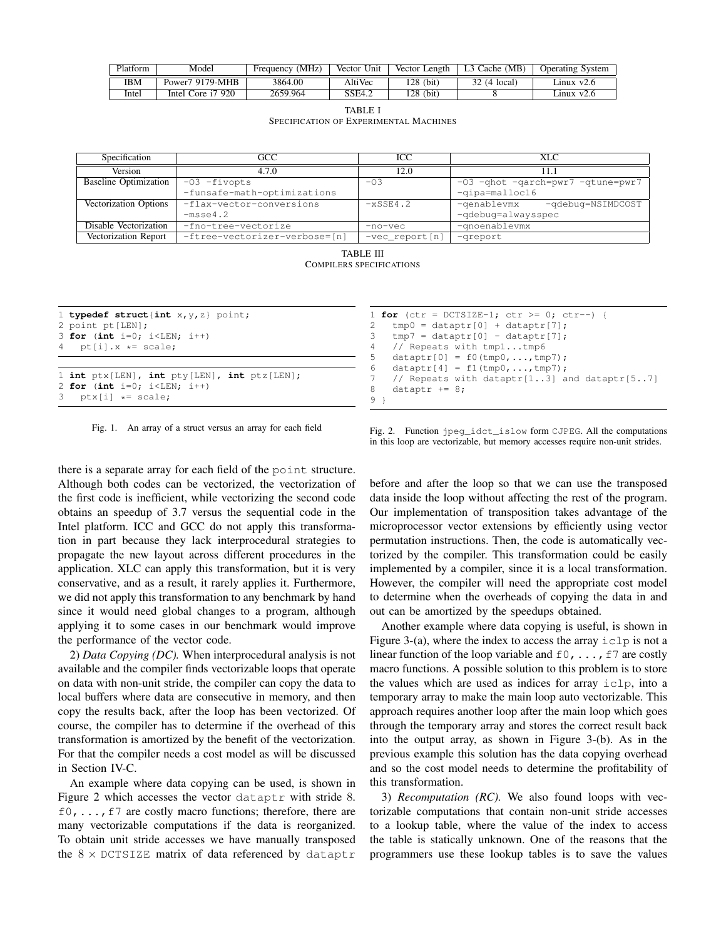| Platform   | Model             | (MHz)<br>Frequency | Vector Unit | Vector Length | (MB)<br>L3 Cache | <b>Operating System</b> |
|------------|-------------------|--------------------|-------------|---------------|------------------|-------------------------|
| <b>IBM</b> | Power7 9179-MHB   | 3864.00            | AltiVec     | 128 (bit)     | 32 (4 local)     | $\mu$ nux $\nu$ 2.6     |
| Intel      | Intel Core i7 920 | 2659.964           | SSE4.2      | 128 (bit)     |                  | $\lambda$ inux v2.6     |

TABLE I

SPECIFICATION OF EXPERIMENTAL MACHINES

| Specification                | GCC                           | ICC               | <b>XLC</b>                        |  |  |
|------------------------------|-------------------------------|-------------------|-----------------------------------|--|--|
| Version                      | 4.7.0                         | 12.0              |                                   |  |  |
| <b>Baseline Optimization</b> | $-03$ -fivopts                | $-0.3$            | -03 -qhot -qarch=pwr7 -qtune=pwr7 |  |  |
|                              | -funsafe-math-optimizations   |                   | $-qipa = malloc16$                |  |  |
| <b>Vectorization Options</b> | -flax-vector-conversions      | $-xSSE4.2$        | -qdebuq=NSIMDCOST<br>-qenablevmx  |  |  |
|                              | $-msse4.2$                    |                   | -qdebuq=alwaysspec                |  |  |
| Disable Vectorization        | -fno-tree-vectorize           | $-no$ -vec        | -qnoenablevmx                     |  |  |
| Vectorization Report         | -ftree-vectorizer-verbose=[n] | $-vec\_report[n]$ | -greport                          |  |  |

TABLE III COMPILERS SPECIFICATIONS

| 1 typedef struct {int $x, y, z$ } point;       |
|------------------------------------------------|
| 2 point pt [LEN];                              |
| 3 for $(int i=0; i$                            |
| 4 pt[i]. $x \neq$ scale;                       |
|                                                |
|                                                |
| 1 int ptx [LEN], int pty [LEN], int ptz [LEN]; |
| 2 for $(int i=0; i$                            |
| $3$ ptx[i] $* = scale$ ;                       |

Fig. 1. An array of a struct versus an array for each field

there is a separate array for each field of the point structure. Although both codes can be vectorized, the vectorization of the first code is inefficient, while vectorizing the second code obtains an speedup of 3.7 versus the sequential code in the Intel platform. ICC and GCC do not apply this transformation in part because they lack interprocedural strategies to propagate the new layout across different procedures in the application. XLC can apply this transformation, but it is very conservative, and as a result, it rarely applies it. Furthermore, we did not apply this transformation to any benchmark by hand since it would need global changes to a program, although applying it to some cases in our benchmark would improve the performance of the vector code.

2) *Data Copying (DC).* When interprocedural analysis is not available and the compiler finds vectorizable loops that operate on data with non-unit stride, the compiler can copy the data to local buffers where data are consecutive in memory, and then copy the results back, after the loop has been vectorized. Of course, the compiler has to determine if the overhead of this transformation is amortized by the benefit of the vectorization. For that the compiler needs a cost model as will be discussed in Section IV-C.

An example where data copying can be used, is shown in Figure 2 which accesses the vector dataptr with stride 8.  $f0, \ldots, f7$  are costly macro functions; therefore, there are many vectorizable computations if the data is reorganized. To obtain unit stride accesses we have manually transposed the  $8 \times$  DCTSIZE matrix of data referenced by dataptr

1 **for** (ctr =  $DCTSIZE-1$ ; ctr >= 0; ctr--) { 2  $tmp0 = dataptr[0] + dataptr[7];$ 3  $tmp7 = dataptr[0] - dataptr[7]$ ; 4 // Repeats with  $tmp1...tmp6$ <br>5 dataptr[0] =  $f0(tmp0......tm)$  $dataptr[0] = f0(tmp0,...,tmp7);$ 6 dataptr $[4] = f1(\text{tmp0}, \dots, \text{tmp7});$ 7 // Repeats with dataptr $[1..3]$  and dataptr $[5..7]$ <br>8 dataptr += 8: dataptr  $+= 8$ : 9 }

Fig. 2. Function jpeg\_idct\_islow form CJPEG. All the computations in this loop are vectorizable, but memory accesses require non-unit strides.

before and after the loop so that we can use the transposed data inside the loop without affecting the rest of the program. Our implementation of transposition takes advantage of the microprocessor vector extensions by efficiently using vector permutation instructions. Then, the code is automatically vectorized by the compiler. This transformation could be easily implemented by a compiler, since it is a local transformation. However, the compiler will need the appropriate cost model to determine when the overheads of copying the data in and out can be amortized by the speedups obtained.

Another example where data copying is useful, is shown in Figure 3-(a), where the index to access the array  $iclp$  is not a linear function of the loop variable and  $f_0$ , ...,  $f_7$  are costly macro functions. A possible solution to this problem is to store the values which are used as indices for array iclp, into a temporary array to make the main loop auto vectorizable. This approach requires another loop after the main loop which goes through the temporary array and stores the correct result back into the output array, as shown in Figure 3-(b). As in the previous example this solution has the data copying overhead and so the cost model needs to determine the profitability of this transformation.

3) *Recomputation (RC).* We also found loops with vectorizable computations that contain non-unit stride accesses to a lookup table, where the value of the index to access the table is statically unknown. One of the reasons that the programmers use these lookup tables is to save the values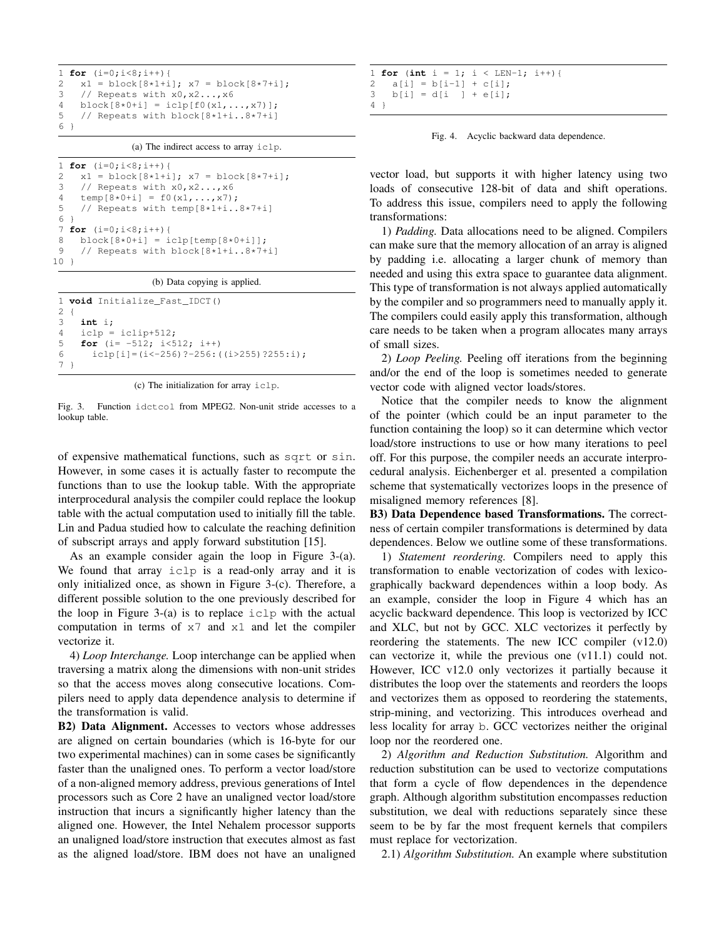```
1 for (i=0; i<8; i++) {
2 x1 = block[8*1+i]; x7 = block[8*7+i];<br>3 // Repeats with x0, x2, ..., x6// Repeats with x0,x2...,x6
4 block [8*0+i] = iclp[f0(x1,...,x7)];<br>5 // Repeats with block [8*1+i..8*7+i]// Repeats with block[8*1+i..8*7+i]
6 }
```
(a) The indirect access to array iclp.

```
1 for (i=0;i<8;i++){
 2 x1 = block[8*1+i]; x7 = block[8*7+i];<br>3 // Repeats with x0, x2 x6// Repeats with x0, x2..., x6
 4 temp[8*0+i] = f0(x1,...,x7);<br>5 // Repeats with temp[8*1+i]
      // Repeats with temp[8*1+i..8*7+i]
 6 }
 7 for (i=0;i<8;i++){
 8 block[8*0+i] = iclp[temp[8*0+i]];<br>9 // Repeats with block[8*1+i..8*7+9 // Repeats with block[8*1+i..8*7+i]
10 }
```
(b) Data copying is applied.

```
1 void Initialize_Fast_IDCT()
\overline{2}3 int i;
    iclp = iclip+512;5 for (i= -512; i<512; i++)
6 iclp[i]=(i<-256)?-256:((i>255)?255:i);7 }
```
(c) The initialization for array iclp.

Fig. 3. Function idctcol from MPEG2. Non-unit stride accesses to a lookup table.

of expensive mathematical functions, such as sqrt or sin. However, in some cases it is actually faster to recompute the functions than to use the lookup table. With the appropriate interprocedural analysis the compiler could replace the lookup table with the actual computation used to initially fill the table. Lin and Padua studied how to calculate the reaching definition of subscript arrays and apply forward substitution [15].

As an example consider again the loop in Figure 3-(a). We found that array iclp is a read-only array and it is only initialized once, as shown in Figure 3-(c). Therefore, a different possible solution to the one previously described for the loop in Figure 3-(a) is to replace iclp with the actual computation in terms of  $x7$  and  $x1$  and let the compiler vectorize it.

4) *Loop Interchange.* Loop interchange can be applied when traversing a matrix along the dimensions with non-unit strides so that the access moves along consecutive locations. Compilers need to apply data dependence analysis to determine if the transformation is valid.

B2) Data Alignment. Accesses to vectors whose addresses are aligned on certain boundaries (which is 16-byte for our two experimental machines) can in some cases be significantly faster than the unaligned ones. To perform a vector load/store of a non-aligned memory address, previous generations of Intel processors such as Core 2 have an unaligned vector load/store instruction that incurs a significantly higher latency than the aligned one. However, the Intel Nehalem processor supports an unaligned load/store instruction that executes almost as fast as the aligned load/store. IBM does not have an unaligned

|       |  |  |  | 1 for (int i = 1; i < LEN-1; i++) { |  |
|-------|--|--|--|-------------------------------------|--|
|       |  |  |  | 2 $a[i] = b[i-1] + c[i];$           |  |
|       |  |  |  | 3 b[i] = d[i ] + e[i];              |  |
| $4$ } |  |  |  |                                     |  |

vector load, but supports it with higher latency using two loads of consecutive 128-bit of data and shift operations. To address this issue, compilers need to apply the following transformations:

1) *Padding.* Data allocations need to be aligned. Compilers can make sure that the memory allocation of an array is aligned by padding i.e. allocating a larger chunk of memory than needed and using this extra space to guarantee data alignment. This type of transformation is not always applied automatically by the compiler and so programmers need to manually apply it. The compilers could easily apply this transformation, although care needs to be taken when a program allocates many arrays of small sizes.

2) *Loop Peeling.* Peeling off iterations from the beginning and/or the end of the loop is sometimes needed to generate vector code with aligned vector loads/stores.

Notice that the compiler needs to know the alignment of the pointer (which could be an input parameter to the function containing the loop) so it can determine which vector load/store instructions to use or how many iterations to peel off. For this purpose, the compiler needs an accurate interprocedural analysis. Eichenberger et al. presented a compilation scheme that systematically vectorizes loops in the presence of misaligned memory references [8].

B3) Data Dependence based Transformations. The correctness of certain compiler transformations is determined by data dependences. Below we outline some of these transformations.

1) *Statement reordering.* Compilers need to apply this transformation to enable vectorization of codes with lexicographically backward dependences within a loop body. As an example, consider the loop in Figure 4 which has an acyclic backward dependence. This loop is vectorized by ICC and XLC, but not by GCC. XLC vectorizes it perfectly by reordering the statements. The new ICC compiler (v12.0) can vectorize it, while the previous one (v11.1) could not. However, ICC v12.0 only vectorizes it partially because it distributes the loop over the statements and reorders the loops and vectorizes them as opposed to reordering the statements, strip-mining, and vectorizing. This introduces overhead and less locality for array b. GCC vectorizes neither the original loop nor the reordered one.

2) *Algorithm and Reduction Substitution.* Algorithm and reduction substitution can be used to vectorize computations that form a cycle of flow dependences in the dependence graph. Although algorithm substitution encompasses reduction substitution, we deal with reductions separately since these seem to be by far the most frequent kernels that compilers must replace for vectorization.

2.1) *Algorithm Substitution.* An example where substitution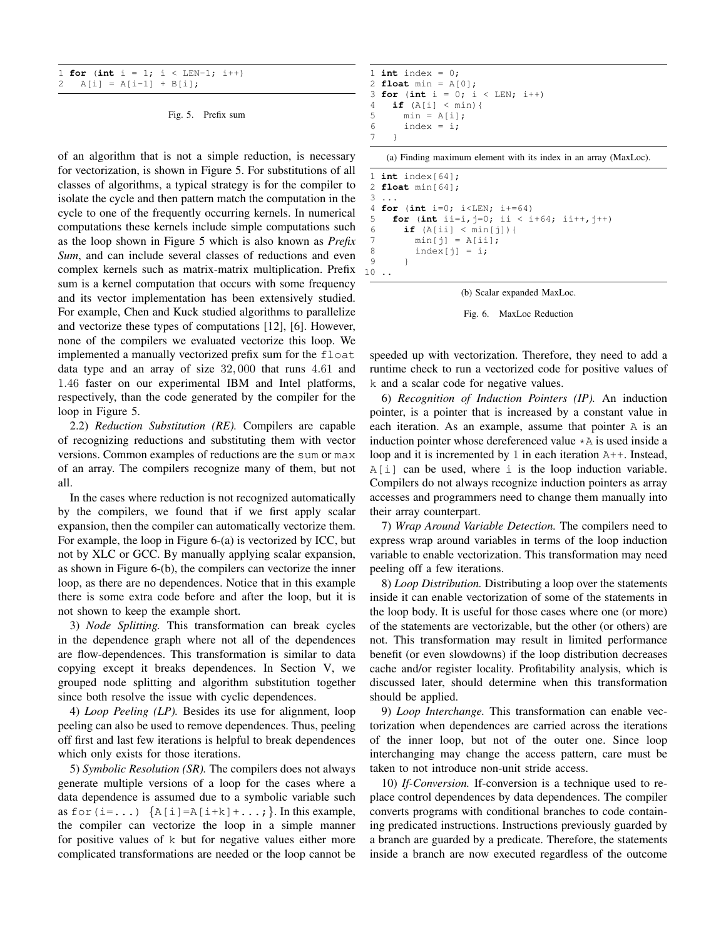|                           |  | 1 for (int i = 1; i < LEN-1; i++) |  |
|---------------------------|--|-----------------------------------|--|
| 2 $A[i] = A[i-1] + B[i];$ |  |                                   |  |

#### Fig. 5. Prefix sum

of an algorithm that is not a simple reduction, is necessary for vectorization, is shown in Figure 5. For substitutions of all classes of algorithms, a typical strategy is for the compiler to isolate the cycle and then pattern match the computation in the cycle to one of the frequently occurring kernels. In numerical computations these kernels include simple computations such as the loop shown in Figure 5 which is also known as *Prefix Sum*, and can include several classes of reductions and even complex kernels such as matrix-matrix multiplication. Prefix sum is a kernel computation that occurs with some frequency and its vector implementation has been extensively studied. For example, Chen and Kuck studied algorithms to parallelize and vectorize these types of computations [12], [6]. However, none of the compilers we evaluated vectorize this loop. We implemented a manually vectorized prefix sum for the float data type and an array of size 32, 000 that runs 4.61 and 1.46 faster on our experimental IBM and Intel platforms, respectively, than the code generated by the compiler for the loop in Figure 5.

2.2) *Reduction Substitution (RE).* Compilers are capable of recognizing reductions and substituting them with vector versions. Common examples of reductions are the sum or max of an array. The compilers recognize many of them, but not all.

In the cases where reduction is not recognized automatically by the compilers, we found that if we first apply scalar expansion, then the compiler can automatically vectorize them. For example, the loop in Figure 6-(a) is vectorized by ICC, but not by XLC or GCC. By manually applying scalar expansion, as shown in Figure 6-(b), the compilers can vectorize the inner loop, as there are no dependences. Notice that in this example there is some extra code before and after the loop, but it is not shown to keep the example short.

3) *Node Splitting.* This transformation can break cycles in the dependence graph where not all of the dependences are flow-dependences. This transformation is similar to data copying except it breaks dependences. In Section V, we grouped node splitting and algorithm substitution together since both resolve the issue with cyclic dependences.

4) *Loop Peeling (LP).* Besides its use for alignment, loop peeling can also be used to remove dependences. Thus, peeling off first and last few iterations is helpful to break dependences which only exists for those iterations.

5) *Symbolic Resolution (SR).* The compilers does not always generate multiple versions of a loop for the cases where a data dependence is assumed due to a symbolic variable such as for  $(i=...)$   $\{A[i]=A[i+k]+...; \}$ . In this example, the compiler can vectorize the loop in a simple manner for positive values of k but for negative values either more complicated transformations are needed or the loop cannot be

```
1 int index = 0;
2 float min = A[0];
3 for (int i = 0; i < LEN; i++)
4 if (A[i] < min){
5 min = A[i];
6 index = i;
7 }
```
(a) Finding maximum element with its index in an array (MaxLoc).

```
1 int index[64];
2 float min[64];
3 ...
4 for (int i=0; i<LEN; i+=64)
5 for (int ii=i,j=0; ii < i+64; ii++,j++)
6 if (A[i] < min[j]) {
7 min[j] = A[i];
8 index[j] = i;9 }
10 ..
```
(b) Scalar expanded MaxLoc.

Fig. 6. MaxLoc Reduction

speeded up with vectorization. Therefore, they need to add a runtime check to run a vectorized code for positive values of k and a scalar code for negative values.

6) *Recognition of Induction Pointers (IP).* An induction pointer, is a pointer that is increased by a constant value in each iteration. As an example, assume that pointer A is an induction pointer whose dereferenced value \*A is used inside a loop and it is incremented by 1 in each iteration A++. Instead,  $A[i]$  can be used, where i is the loop induction variable. Compilers do not always recognize induction pointers as array accesses and programmers need to change them manually into their array counterpart.

7) *Wrap Around Variable Detection.* The compilers need to express wrap around variables in terms of the loop induction variable to enable vectorization. This transformation may need peeling off a few iterations.

8) *Loop Distribution.* Distributing a loop over the statements inside it can enable vectorization of some of the statements in the loop body. It is useful for those cases where one (or more) of the statements are vectorizable, but the other (or others) are not. This transformation may result in limited performance benefit (or even slowdowns) if the loop distribution decreases cache and/or register locality. Profitability analysis, which is discussed later, should determine when this transformation should be applied.

9) *Loop Interchange.* This transformation can enable vectorization when dependences are carried across the iterations of the inner loop, but not of the outer one. Since loop interchanging may change the access pattern, care must be taken to not introduce non-unit stride access.

10) *If-Conversion.* If-conversion is a technique used to replace control dependences by data dependences. The compiler converts programs with conditional branches to code containing predicated instructions. Instructions previously guarded by a branch are guarded by a predicate. Therefore, the statements inside a branch are now executed regardless of the outcome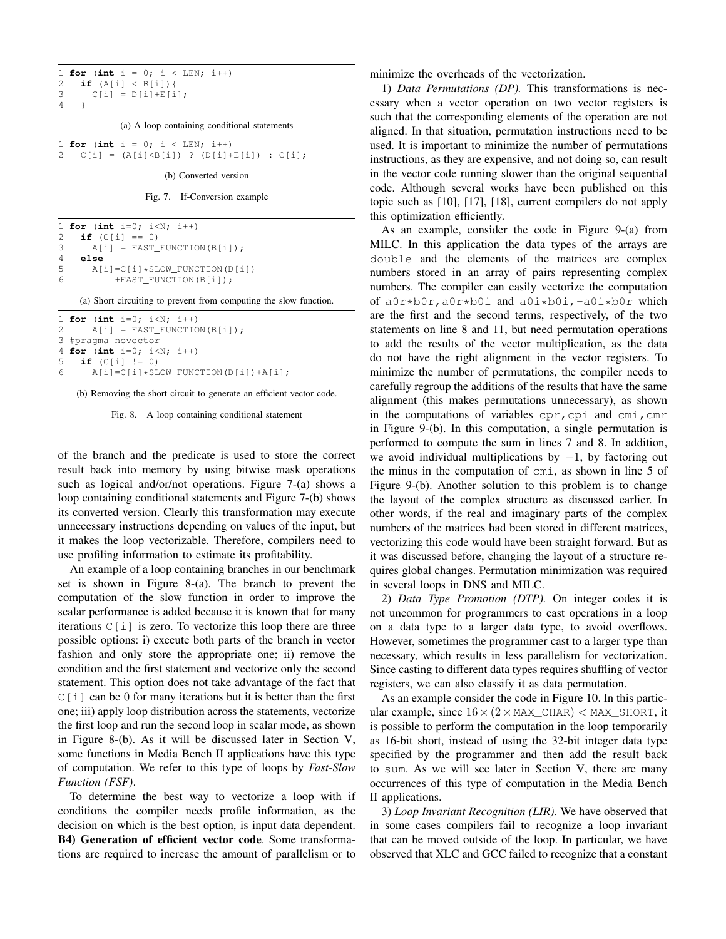```
1 for (int i = 0; i < LEN; i+1)
2 if (A[i] \leq B[i]) {<br>3 C[i] = D[i] + E[i
        C[i] = D[i] + E[i];4 }
```

|  |  |  |  | (a) A loop containing conditional statements |  |
|--|--|--|--|----------------------------------------------|--|
|--|--|--|--|----------------------------------------------|--|

|  | 1 for (int i = 0; i < LEN; i++)                            |  |
|--|------------------------------------------------------------|--|
|  | 2 $C[i] = (A[i] \times B[i])$ ? $(D[i] + E[i])$ : $C[i]$ ; |  |

(b) Converted version

Fig. 7. If-Conversion example

|                                      | 1 for (int i=0; i <n; i++)<="" th=""><th></th><th></th><th></th><th></th></n;> |  |                  |   |   |
|--------------------------------------|--------------------------------------------------------------------------------|--|------------------|---|---|
|                                      |                                                                                |  | if $(C[i] == 0)$ | 2 |   |
| $A[i] = FAST FUNCTION(B[i])$ ;       |                                                                                |  |                  | 3 |   |
|                                      |                                                                                |  | else             |   | 4 |
| $A[i] = C[i] * SLOW$ FUNCTION (D[i]) |                                                                                |  |                  |   | 5 |
|                                      | +FAST FUNCTION(B[i]);                                                          |  |                  |   | 6 |
|                                      |                                                                                |  |                  |   |   |

(a) Short circuiting to prevent from computing the slow function.

```
1 for (int i=0; i<N; i++)
2 A[i] = FAST FUNCTION(B[i]);
3 #pragma novector<br>4 for (int i=0; i<
  for (int i=0; i < N; i++)
5 if (C[i] := 0)6 A[i]=C[i]*SLOW_FUNCTION(D[i])+A[i];
```
(b) Removing the short circuit to generate an efficient vector code.

Fig. 8. A loop containing conditional statement

of the branch and the predicate is used to store the correct result back into memory by using bitwise mask operations such as logical and/or/not operations. Figure 7-(a) shows a loop containing conditional statements and Figure 7-(b) shows its converted version. Clearly this transformation may execute unnecessary instructions depending on values of the input, but it makes the loop vectorizable. Therefore, compilers need to use profiling information to estimate its profitability.

An example of a loop containing branches in our benchmark set is shown in Figure 8-(a). The branch to prevent the computation of the slow function in order to improve the scalar performance is added because it is known that for many iterations  $C[i]$  is zero. To vectorize this loop there are three possible options: i) execute both parts of the branch in vector fashion and only store the appropriate one; ii) remove the condition and the first statement and vectorize only the second statement. This option does not take advantage of the fact that  $C[i]$  can be 0 for many iterations but it is better than the first one; iii) apply loop distribution across the statements, vectorize the first loop and run the second loop in scalar mode, as shown in Figure 8-(b). As it will be discussed later in Section V, some functions in Media Bench II applications have this type of computation. We refer to this type of loops by *Fast-Slow Function (FSF)*.

To determine the best way to vectorize a loop with if conditions the compiler needs profile information, as the decision on which is the best option, is input data dependent. B4) Generation of efficient vector code. Some transformations are required to increase the amount of parallelism or to

minimize the overheads of the vectorization.

1) *Data Permutations (DP).* This transformations is necessary when a vector operation on two vector registers is such that the corresponding elements of the operation are not aligned. In that situation, permutation instructions need to be used. It is important to minimize the number of permutations instructions, as they are expensive, and not doing so, can result in the vector code running slower than the original sequential code. Although several works have been published on this topic such as [10], [17], [18], current compilers do not apply this optimization efficiently.

As an example, consider the code in Figure 9-(a) from MILC. In this application the data types of the arrays are double and the elements of the matrices are complex numbers stored in an array of pairs representing complex numbers. The compiler can easily vectorize the computation of a0r\*b0r,a0r\*b0i and a0i\*b0i,-a0i\*b0r which are the first and the second terms, respectively, of the two statements on line 8 and 11, but need permutation operations to add the results of the vector multiplication, as the data do not have the right alignment in the vector registers. To minimize the number of permutations, the compiler needs to carefully regroup the additions of the results that have the same alignment (this makes permutations unnecessary), as shown in the computations of variables cpr,cpi and cmi,cmr in Figure 9-(b). In this computation, a single permutation is performed to compute the sum in lines 7 and 8. In addition, we avoid individual multiplications by  $-1$ , by factoring out the minus in the computation of cmi, as shown in line 5 of Figure 9-(b). Another solution to this problem is to change the layout of the complex structure as discussed earlier. In other words, if the real and imaginary parts of the complex numbers of the matrices had been stored in different matrices, vectorizing this code would have been straight forward. But as it was discussed before, changing the layout of a structure requires global changes. Permutation minimization was required in several loops in DNS and MILC.

2) *Data Type Promotion (DTP).* On integer codes it is not uncommon for programmers to cast operations in a loop on a data type to a larger data type, to avoid overflows. However, sometimes the programmer cast to a larger type than necessary, which results in less parallelism for vectorization. Since casting to different data types requires shuffling of vector registers, we can also classify it as data permutation.

As an example consider the code in Figure 10. In this particular example, since  $16 \times (2 \times MAX\_CHAR) < MAX\_SHORT$ , it is possible to perform the computation in the loop temporarily as 16-bit short, instead of using the 32-bit integer data type specified by the programmer and then add the result back to sum. As we will see later in Section V, there are many occurrences of this type of computation in the Media Bench II applications.

3) *Loop Invariant Recognition (LIR).* We have observed that in some cases compilers fail to recognize a loop invariant that can be moved outside of the loop. In particular, we have observed that XLC and GCC failed to recognize that a constant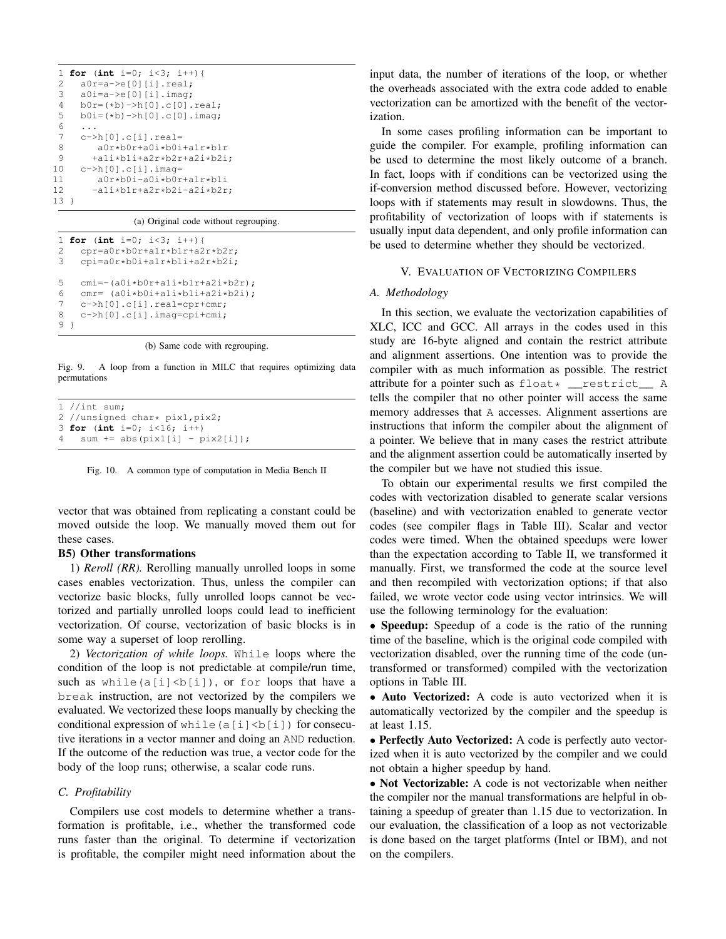```
1 for (int i=0; i<3; i++){
 2 a0r=a->e[0][i].real;<br>3 a0i=a->e[0][i].imag;a0i=a->e[0][i].imag;
 4 b0r=(*b)->h[0].c[0].real;<br>5 b0i=(*b)->h[0].c[0].imag;
       b0i=(*b)->h[0].c[0].imag;67 c->h[0].c[i].real=
 8 a0r*b0r+a0i*b0i+a1r*b1r<br>9 +a1i*b1i+a2r*b2r+a2i*b2i
9 +ali*bli+a2r*b2r+a2i*b2i;<br>10 c->h[0].c[i].imaq=
       c-\geq h[0].c[i].imag=
11 a0r*b0i-a0i*b0r+a1r*b1i<br>12 -a1i*b1r+a2r*b2i-a2i*b2r
          -ali*blr+a2r*b2i-a2i*b2r;
13 }
```
(a) Original code without regrouping.

```
1 for (int i=0; i<3; i++){
2 cpr=a0r*b0r+a1r*b1r+a2r*b2r;<br>3 cpi=a0r*b0i+a1r*b1i+a2r*b2i;
     3 cpi=a0r*b0i+a1r*b1i+a2r*b2i;
5 cmi=-(a0i*b0r+a1i*b1r+a2i*b2r);<br>6 cmr= (a0i*b0i+a1i*b1i+a2i*b2i);
6 cmr= (a0i*b0i+ali*b1i+a2i*b2i);<br>7 c->h[0].c[i].real=cpr+cmr:
     c->h[0].c[i].real=cpr+cmr;8 c->h[0].c[i].imag=cpi+cmi;
9 }
```
(b) Same code with regrouping.

Fig. 9. A loop from a function in MILC that requires optimizing data permutations

| $1$ //int sum;                     |
|------------------------------------|
| 2 //unsigned char* pix1, pix2;     |
| 3 for (int i=0; i<16; i++)         |
| 4 sum $+=$ abs(pix1[i] - pix2[i]); |

Fig. 10. A common type of computation in Media Bench II

vector that was obtained from replicating a constant could be moved outside the loop. We manually moved them out for these cases.

## B5) Other transformations

1) *Reroll (RR).* Rerolling manually unrolled loops in some cases enables vectorization. Thus, unless the compiler can vectorize basic blocks, fully unrolled loops cannot be vectorized and partially unrolled loops could lead to inefficient vectorization. Of course, vectorization of basic blocks is in some way a superset of loop rerolling.

2) *Vectorization of while loops.* While loops where the condition of the loop is not predictable at compile/run time, such as while( $a[i]$  $\&$ [i]), or for loops that have a break instruction, are not vectorized by the compilers we evaluated. We vectorized these loops manually by checking the conditional expression of while  $(a[i] \leq b[i])$  for consecutive iterations in a vector manner and doing an AND reduction. If the outcome of the reduction was true, a vector code for the body of the loop runs; otherwise, a scalar code runs.

#### *C. Profitability*

Compilers use cost models to determine whether a transformation is profitable, i.e., whether the transformed code runs faster than the original. To determine if vectorization is profitable, the compiler might need information about the input data, the number of iterations of the loop, or whether the overheads associated with the extra code added to enable vectorization can be amortized with the benefit of the vectorization.

In some cases profiling information can be important to guide the compiler. For example, profiling information can be used to determine the most likely outcome of a branch. In fact, loops with if conditions can be vectorized using the if-conversion method discussed before. However, vectorizing loops with if statements may result in slowdowns. Thus, the profitability of vectorization of loops with if statements is usually input data dependent, and only profile information can be used to determine whether they should be vectorized.

#### V. EVALUATION OF VECTORIZING COMPILERS

#### *A. Methodology*

In this section, we evaluate the vectorization capabilities of XLC, ICC and GCC. All arrays in the codes used in this study are 16-byte aligned and contain the restrict attribute and alignment assertions. One intention was to provide the compiler with as much information as possible. The restrict attribute for a pointer such as float\* \_\_restrict\_ A tells the compiler that no other pointer will access the same memory addresses that A accesses. Alignment assertions are instructions that inform the compiler about the alignment of a pointer. We believe that in many cases the restrict attribute and the alignment assertion could be automatically inserted by the compiler but we have not studied this issue.

To obtain our experimental results we first compiled the codes with vectorization disabled to generate scalar versions (baseline) and with vectorization enabled to generate vector codes (see compiler flags in Table III). Scalar and vector codes were timed. When the obtained speedups were lower than the expectation according to Table II, we transformed it manually. First, we transformed the code at the source level and then recompiled with vectorization options; if that also failed, we wrote vector code using vector intrinsics. We will use the following terminology for the evaluation:

• Speedup: Speedup of a code is the ratio of the running time of the baseline, which is the original code compiled with vectorization disabled, over the running time of the code (untransformed or transformed) compiled with the vectorization options in Table III.

• Auto Vectorized: A code is auto vectorized when it is automatically vectorized by the compiler and the speedup is at least 1.15.

• Perfectly Auto Vectorized: A code is perfectly auto vectorized when it is auto vectorized by the compiler and we could not obtain a higher speedup by hand.

• Not Vectorizable: A code is not vectorizable when neither the compiler nor the manual transformations are helpful in obtaining a speedup of greater than 1.15 due to vectorization. In our evaluation, the classification of a loop as not vectorizable is done based on the target platforms (Intel or IBM), and not on the compilers.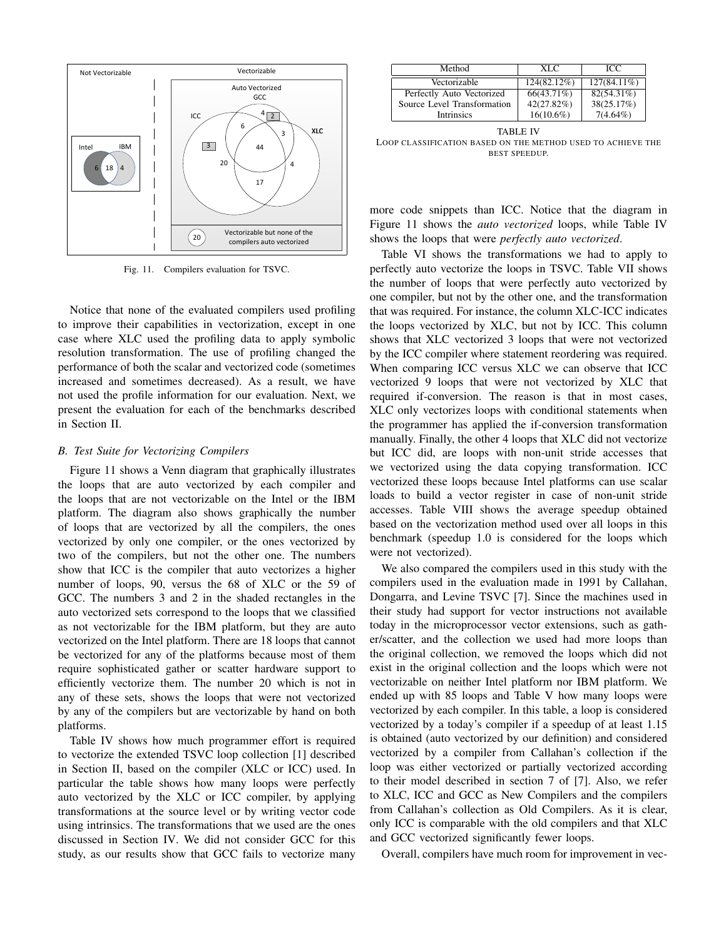

Fig. 11. Compilers evaluation for TSVC.

Notice that none of the evaluated compilers used profiling to improve their capabilities in vectorization, except in one case where XLC used the profiling data to apply symbolic resolution transformation. The use of profiling changed the performance of both the scalar and vectorized code (sometimes increased and sometimes decreased). As a result, we have not used the profile information for our evaluation. Next, we present the evaluation for each of the benchmarks described in Section II.

## *B. Test Suite for Vectorizing Compilers*

Figure 11 shows a Venn diagram that graphically illustrates the loops that are auto vectorized by each compiler and the loops that are not vectorizable on the Intel or the IBM platform. The diagram also shows graphically the number of loops that are vectorized by all the compilers, the ones vectorized by only one compiler, or the ones vectorized by two of the compilers, but not the other one. The numbers show that ICC is the compiler that auto vectorizes a higher number of loops, 90, versus the 68 of XLC or the 59 of GCC. The numbers 3 and 2 in the shaded rectangles in the auto vectorized sets correspond to the loops that we classified as not vectorizable for the IBM platform, but they are auto vectorized on the Intel platform. There are 18 loops that cannot be vectorized for any of the platforms because most of them require sophisticated gather or scatter hardware support to efficiently vectorize them. The number 20 which is not in any of these sets, shows the loops that were not vectorized by any of the compilers but are vectorizable by hand on both platforms.

Table IV shows how much programmer effort is required to vectorize the extended TSVC loop collection [1] described in Section II, based on the compiler (XLC or ICC) used. In particular the table shows how many loops were perfectly auto vectorized by the XLC or ICC compiler, by applying transformations at the source level or by writing vector code using intrinsics. The transformations that we used are the ones discussed in Section IV. We did not consider GCC for this study, as our results show that GCC fails to vectorize many

| Method                      | XLC.          | ICC.        |
|-----------------------------|---------------|-------------|
| Vectorizable                | 124(82.12%)   | 127(84.11%) |
| Perfectly Auto Vectorized   | $66(43.71\%)$ | 82(54.31%)  |
| Source Level Transformation | 42(27.82%)    | 38(25.17%)  |
| <b>Intrinsics</b>           | $16(10.6\%)$  | $7(4.64\%)$ |

TABLE IV LOOP CLASSIFICATION BASED ON THE METHOD USED TO ACHIEVE THE BEST SPEEDUP.

more code snippets than ICC. Notice that the diagram in Figure 11 shows the *auto vectorized* loops, while Table IV shows the loops that were *perfectly auto vectorized*.

Table VI shows the transformations we had to apply to perfectly auto vectorize the loops in TSVC. Table VII shows the number of loops that were perfectly auto vectorized by one compiler, but not by the other one, and the transformation that was required. For instance, the column XLC-ICC indicates the loops vectorized by XLC, but not by ICC. This column shows that XLC vectorized 3 loops that were not vectorized by the ICC compiler where statement reordering was required. When comparing ICC versus XLC we can observe that ICC vectorized 9 loops that were not vectorized by XLC that required if-conversion. The reason is that in most cases, XLC only vectorizes loops with conditional statements when the programmer has applied the if-conversion transformation manually. Finally, the other 4 loops that XLC did not vectorize but ICC did, are loops with non-unit stride accesses that we vectorized using the data copying transformation. ICC vectorized these loops because Intel platforms can use scalar loads to build a vector register in case of non-unit stride accesses. Table VIII shows the average speedup obtained based on the vectorization method used over all loops in this benchmark (speedup 1.0 is considered for the loops which were not vectorized).

We also compared the compilers used in this study with the compilers used in the evaluation made in 1991 by Callahan, Dongarra, and Levine TSVC [7]. Since the machines used in their study had support for vector instructions not available today in the microprocessor vector extensions, such as gather/scatter, and the collection we used had more loops than the original collection, we removed the loops which did not exist in the original collection and the loops which were not vectorizable on neither Intel platform nor IBM platform. We ended up with 85 loops and Table V how many loops were vectorized by each compiler. In this table, a loop is considered vectorized by a today's compiler if a speedup of at least 1.15 is obtained (auto vectorized by our definition) and considered vectorized by a compiler from Callahan's collection if the loop was either vectorized or partially vectorized according to their model described in section 7 of [7]. Also, we refer to XLC, ICC and GCC as New Compilers and the compilers from Callahan's collection as Old Compilers. As it is clear, only ICC is comparable with the old compilers and that XLC and GCC vectorized significantly fewer loops.

Overall, compilers have much room for improvement in vec-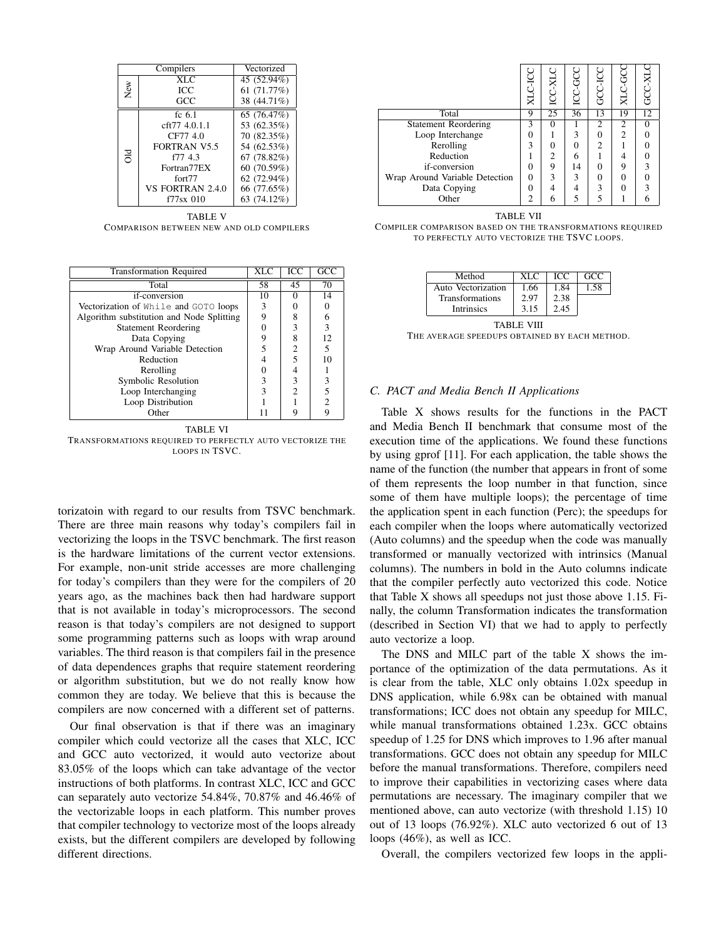|                | Compilers           | Vectorized  |  |  |  |  |
|----------------|---------------------|-------------|--|--|--|--|
|                | XLC.                | 45 (52.94%) |  |  |  |  |
| New            | <b>ICC</b>          | 61(71.77%)  |  |  |  |  |
|                | GCC                 | 38 (44.71%) |  |  |  |  |
|                | fc $6.1$            | 65 (76.47%) |  |  |  |  |
|                | cft77 4.0.1.1       | 53 (62.35%) |  |  |  |  |
|                | CF77.40             | 70 (82.35%) |  |  |  |  |
|                | <b>FORTRAN V5.5</b> | 54 (62.53%) |  |  |  |  |
| $\overline{c}$ | f7743               | 67 (78.82%) |  |  |  |  |
|                | Fortran77EX         | 60 (70.59%) |  |  |  |  |
|                | for 77              | 62 (72.94%) |  |  |  |  |
|                | VS FORTRAN 2.4.0    | 66 (77.65%) |  |  |  |  |
|                | $f77sx$ 010         | 63 (74.12%) |  |  |  |  |

TABLE V COMPARISON BETWEEN NEW AND OLD COMPILERS

| <b>Transformation Required</b>            | XLC | ICC            | GCC |
|-------------------------------------------|-----|----------------|-----|
| Total                                     | 58  | 45             | 70  |
| if-conversion                             | 10  |                | 14  |
| Vectorization of While and GOTO loops     |     |                |     |
| Algorithm substitution and Node Splitting |     |                |     |
| <b>Statement Reordering</b>               |     |                | 3   |
| Data Copying                              |     |                | 12  |
| Wrap Around Variable Detection            |     | $\mathfrak{D}$ | 5   |
| Reduction                                 |     |                | 10  |
| Rerolling                                 |     |                |     |
| Symbolic Resolution                       |     |                |     |
| Loop Interchanging                        |     | $\mathfrak{D}$ |     |
| Loop Distribution                         |     |                |     |
| Other                                     |     |                |     |

TABLE VI TRANSFORMATIONS REQUIRED TO PERFECTLY AUTO VECTORIZE THE LOOPS IN TSVC.

torizatoin with regard to our results from TSVC benchmark. There are three main reasons why today's compilers fail in vectorizing the loops in the TSVC benchmark. The first reason is the hardware limitations of the current vector extensions. For example, non-unit stride accesses are more challenging for today's compilers than they were for the compilers of 20 years ago, as the machines back then had hardware support that is not available in today's microprocessors. The second reason is that today's compilers are not designed to support some programming patterns such as loops with wrap around variables. The third reason is that compilers fail in the presence of data dependences graphs that require statement reordering or algorithm substitution, but we do not really know how common they are today. We believe that this is because the compilers are now concerned with a different set of patterns.

Our final observation is that if there was an imaginary compiler which could vectorize all the cases that XLC, ICC and GCC auto vectorized, it would auto vectorize about 83.05% of the loops which can take advantage of the vector instructions of both platforms. In contrast XLC, ICC and GCC can separately auto vectorize 54.84%, 70.87% and 46.46% of the vectorizable loops in each platform. This number proves that compiler technology to vectorize most of the loops already exists, but the different compilers are developed by following different directions.

|                                |                | ⋝<br>icc:      | سم |                |                             |    |
|--------------------------------|----------------|----------------|----|----------------|-----------------------------|----|
| Total                          | 9              | 25             | 36 | 13             | 19                          | 12 |
| <b>Statement Reordering</b>    | 3              | 0              |    | $\overline{c}$ | 2                           |    |
| Loop Interchange               | 0              |                | 3  |                | $\mathcal{D}_{\mathcal{L}}$ |    |
| Rerolling                      | 3              | 0              | 0  | $\overline{c}$ |                             |    |
| Reduction                      |                | $\overline{2}$ | 6  |                |                             |    |
| if-conversion                  | 0              | 9              | 14 |                | Q                           |    |
| Wrap Around Variable Detection | 0              | 3              | 3  |                |                             |    |
| Data Copying                   | 0              |                |    | 3              |                             |    |
| Other                          | $\mathfrak{D}$ | 6              | 5  | 5              |                             |    |

TABLE VII

COMPILER COMPARISON BASED ON THE TRANSFORMATIONS REQUIRED TO PERFECTLY AUTO VECTORIZE THE TSVC LOOPS.

| Method                 | XLC. | ICC. | GCC  |  |  |  |  |  |
|------------------------|------|------|------|--|--|--|--|--|
| Auto Vectorization     | 1.66 | 1.84 | 1.58 |  |  |  |  |  |
| <b>Transformations</b> | 2.97 | 2.38 |      |  |  |  |  |  |
| <b>Intrinsics</b>      | 3.15 | 2.45 |      |  |  |  |  |  |
| TABLE VIII             |      |      |      |  |  |  |  |  |

THE AVERAGE SPEEDUPS OBTAINED BY EACH METHOD.

## *C. PACT and Media Bench II Applications*

Table X shows results for the functions in the PACT and Media Bench II benchmark that consume most of the execution time of the applications. We found these functions by using gprof [11]. For each application, the table shows the name of the function (the number that appears in front of some of them represents the loop number in that function, since some of them have multiple loops); the percentage of time the application spent in each function (Perc); the speedups for each compiler when the loops where automatically vectorized (Auto columns) and the speedup when the code was manually transformed or manually vectorized with intrinsics (Manual columns). The numbers in bold in the Auto columns indicate that the compiler perfectly auto vectorized this code. Notice that Table X shows all speedups not just those above 1.15. Finally, the column Transformation indicates the transformation (described in Section VI) that we had to apply to perfectly auto vectorize a loop.

The DNS and MILC part of the table X shows the importance of the optimization of the data permutations. As it is clear from the table, XLC only obtains 1.02x speedup in DNS application, while 6.98x can be obtained with manual transformations; ICC does not obtain any speedup for MILC, while manual transformations obtained 1.23x. GCC obtains speedup of 1.25 for DNS which improves to 1.96 after manual transformations. GCC does not obtain any speedup for MILC before the manual transformations. Therefore, compilers need to improve their capabilities in vectorizing cases where data permutations are necessary. The imaginary compiler that we mentioned above, can auto vectorize (with threshold 1.15) 10 out of 13 loops (76.92%). XLC auto vectorized 6 out of 13 loops (46%), as well as ICC.

Overall, the compilers vectorized few loops in the appli-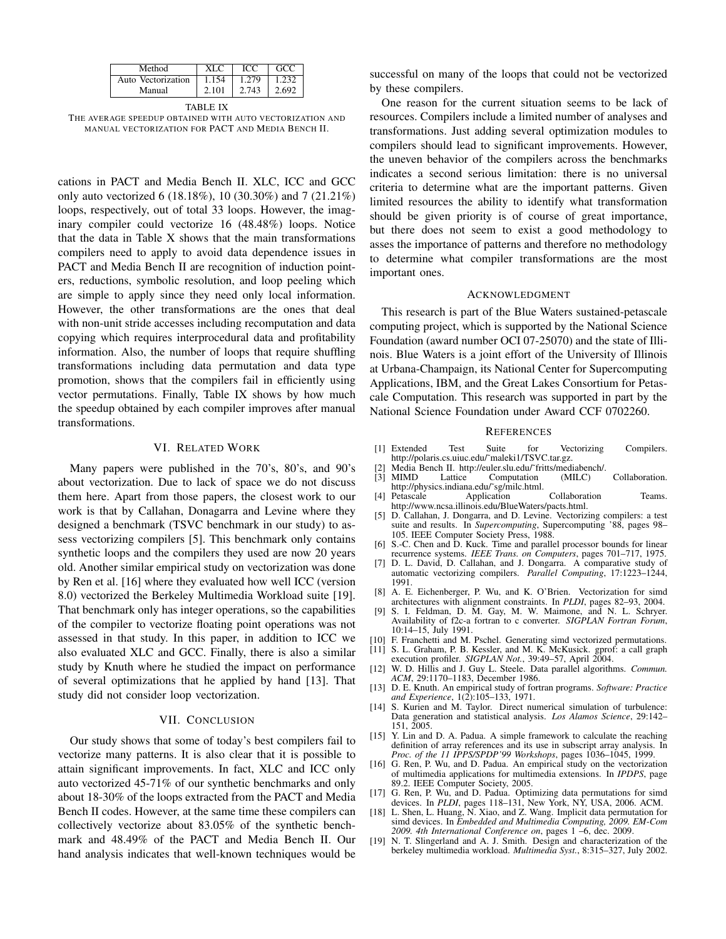| Method             | XL C  | IC C  | 63 C Y |
|--------------------|-------|-------|--------|
| Auto Vectorization | 1.154 | 1.279 |        |
| Manual             | 2 101 | 2.743 | 2.692  |

TABLE IX THE AVERAGE SPEEDUP OBTAINED WITH AUTO VECTORIZATION AND MANUAL VECTORIZATION FOR PACT AND MEDIA BENCH II.

cations in PACT and Media Bench II. XLC, ICC and GCC only auto vectorized 6 (18.18%), 10 (30.30%) and 7 (21.21%) loops, respectively, out of total 33 loops. However, the imaginary compiler could vectorize 16 (48.48%) loops. Notice that the data in Table X shows that the main transformations compilers need to apply to avoid data dependence issues in PACT and Media Bench II are recognition of induction pointers, reductions, symbolic resolution, and loop peeling which are simple to apply since they need only local information. However, the other transformations are the ones that deal with non-unit stride accesses including recomputation and data copying which requires interprocedural data and profitability information. Also, the number of loops that require shuffling transformations including data permutation and data type promotion, shows that the compilers fail in efficiently using vector permutations. Finally, Table IX shows by how much the speedup obtained by each compiler improves after manual transformations.

## VI. RELATED WORK

Many papers were published in the 70's, 80's, and 90's about vectorization. Due to lack of space we do not discuss them here. Apart from those papers, the closest work to our work is that by Callahan, Donagarra and Levine where they designed a benchmark (TSVC benchmark in our study) to assess vectorizing compilers [5]. This benchmark only contains synthetic loops and the compilers they used are now 20 years old. Another similar empirical study on vectorization was done by Ren et al. [16] where they evaluated how well ICC (version 8.0) vectorized the Berkeley Multimedia Workload suite [19]. That benchmark only has integer operations, so the capabilities of the compiler to vectorize floating point operations was not assessed in that study. In this paper, in addition to ICC we also evaluated XLC and GCC. Finally, there is also a similar study by Knuth where he studied the impact on performance of several optimizations that he applied by hand [13]. That study did not consider loop vectorization.

#### VII. CONCLUSION

Our study shows that some of today's best compilers fail to vectorize many patterns. It is also clear that it is possible to attain significant improvements. In fact, XLC and ICC only auto vectorized 45-71% of our synthetic benchmarks and only about 18-30% of the loops extracted from the PACT and Media Bench II codes. However, at the same time these compilers can collectively vectorize about 83.05% of the synthetic benchmark and 48.49% of the PACT and Media Bench II. Our hand analysis indicates that well-known techniques would be

successful on many of the loops that could not be vectorized by these compilers.

One reason for the current situation seems to be lack of resources. Compilers include a limited number of analyses and transformations. Just adding several optimization modules to compilers should lead to significant improvements. However, the uneven behavior of the compilers across the benchmarks indicates a second serious limitation: there is no universal criteria to determine what are the important patterns. Given limited resources the ability to identify what transformation should be given priority is of course of great importance, but there does not seem to exist a good methodology to asses the importance of patterns and therefore no methodology to determine what compiler transformations are the most important ones.

#### ACKNOWLEDGMENT

This research is part of the Blue Waters sustained-petascale computing project, which is supported by the National Science Foundation (award number OCI 07-25070) and the state of Illinois. Blue Waters is a joint effort of the University of Illinois at Urbana-Champaign, its National Center for Supercomputing Applications, IBM, and the Great Lakes Consortium for Petascale Computation. This research was supported in part by the National Science Foundation under Award CCF 0702260.

#### **REFERENCES**

- [1] Extended Test Suite for Vectorizing Compilers.
- http://polaris.cs.uiuc.edu/˜maleki1/TSVC.tar.gz.
- [2] Media Bench II. http://euler.slu.edu/˜fritts/mediabench/. Computation (MILC) Collaboration.
- http://physics.indiana.edu/~sg/milc.html.<br>Petascale Application [4] Petascale Application Collaboration Teams.
- http://www.ncsa.illinois.edu/BlueWaters/pacts.html.
- [5] D. Callahan, J. Dongarra, and D. Levine. Vectorizing compilers: a test suite and results. In *Supercomputing*, Supercomputing '88, pages 98– 105. IEEE Computer Society Press, 1988.
- [6] S.-C. Chen and D. Kuck. Time and parallel processor bounds for linear recurrence systems. *IEEE Trans. on Computers*, pages 701–717, 1975.
- [7] D. L. David, D. Callahan, and J. Dongarra. A comparative study of automatic vectorizing compilers. *Parallel Computing*, 17:1223–1244, 1991.
- [8] A. E. Eichenberger, P. Wu, and K. O'Brien. Vectorization for simd architectures with alignment constraints. In *PLDI*, pages 82–93, 2004.
- [9] S. I. Feldman, D. M. Gay, M. W. Maimone, and N. L. Schryer. Availability of f2c-a fortran to c converter. *SIGPLAN Fortran Forum*, 10:14–15, July 1991.
- [10] F. Franchetti and M. Pschel. Generating simd vectorized permutations. [11] S. L. Graham, P. B. Kessler, and M. K. McKusick. gprof: a call graph
- execution profiler. *SIGPLAN Not.*, 39:49–57, April 2004.
- [12] W. D. Hillis and J. Guy L. Steele. Data parallel algorithms. *Commun. ACM*, 29:1170–1183, December 1986.
- [13] D. E. Knuth. An empirical study of fortran programs. *Software: Practice and Experience*, 1(2):105–133, 1971.
- [14] S. Kurien and M. Taylor. Direct numerical simulation of turbulence: Data generation and statistical analysis. *Los Alamos Science*, 29:142– 151, 2005.
- [15] Y. Lin and D. A. Padua. A simple framework to calculate the reaching definition of array references and its use in subscript array analysis. In *Proc. of the 11 IPPS/SPDP'99 Workshops*, pages 1036–1045, 1999.
- [16] G. Ren, P. Wu, and D. Padua. An empirical study on the vectorization of multimedia applications for multimedia extensions. In *IPDPS*, page 89.2. IEEE Computer Society, 2005.
- [17] G. Ren, P. Wu, and D. Padua. Optimizing data permutations for simd devices. In *PLDI*, pages 118–131, New York, NY, USA, 2006. ACM.
- [18] L. Shen, L. Huang, N. Xiao, and Z. Wang. Implicit data permutation for simd devices. In *Embedded and Multimedia Computing, 2009. EM-Com 2009. 4th International Conference on*, pages 1 –6, dec. 2009.
- [19] N. T. Slingerland and A. J. Smith. Design and characterization of the berkeley multimedia workload. *Multimedia Syst.*, 8:315–327, July 2002.